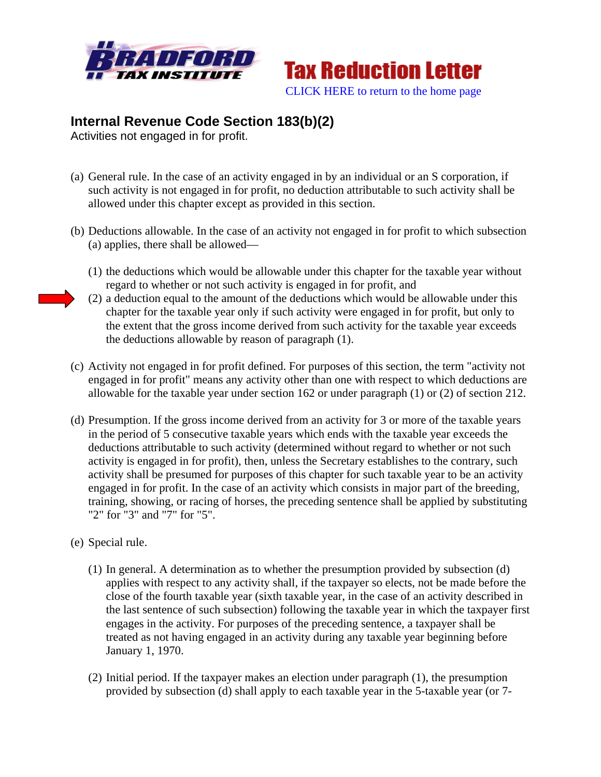



## **Internal Revenue Code Section 183(b)(2)**

Activities not engaged in for profit.

- (a) General rule. In the case of an activity engaged in by an individual or an S corporation, if such activity is not engaged in for profit, no deduction attributable to such activity shall be allowed under this chapter except as provided in this section.
- (b) Deductions allowable. In the case of an activity not engaged in for profit to which subsection (a) applies, there shall be allowed—
	- (1) the deductions which would be allowable under this chapter for the taxable year without regard to whether or not such activity is engaged in for profit, and
	- (2) a deduction equal to the amount of the deductions which would be allowable under this chapter for the taxable year only if such activity were engaged in for profit, but only to the extent that the gross income derived from such activity for the taxable year exceeds the deductions allowable by reason of paragraph (1).
- (c) Activity not engaged in for profit defined. For purposes of this section, the term "activity not engaged in for profit" means any activity other than one with respect to which deductions are allowable for the taxable year under section 162 or under paragraph (1) or (2) of section 212.
- (d) Presumption. If the gross income derived from an activity for 3 or more of the taxable years in the period of 5 consecutive taxable years which ends with the taxable year exceeds the deductions attributable to such activity (determined without regard to whether or not such activity is engaged in for profit), then, unless the Secretary establishes to the contrary, such activity shall be presumed for purposes of this chapter for such taxable year to be an activity engaged in for profit. In the case of an activity which consists in major part of the breeding, training, showing, or racing of horses, the preceding sentence shall be applied by substituting "2" for "3" and "7" for "5".
- (e) Special rule.
	- (1) In general. A determination as to whether the presumption provided by subsection (d) applies with respect to any activity shall, if the taxpayer so elects, not be made before the close of the fourth taxable year (sixth taxable year, in the case of an activity described in the last sentence of such subsection) following the taxable year in which the taxpayer first engages in the activity. For purposes of the preceding sentence, a taxpayer shall be treated as not having engaged in an activity during any taxable year beginning before January 1, 1970.
	- (2) Initial period. If the taxpayer makes an election under paragraph (1), the presumption provided by subsection (d) shall apply to each taxable year in the 5-taxable year (or 7-